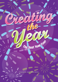

OUT

Presented by: SAINT JAMES MEDIA

 $\mathcal{S}$   $\mathcal{S}$   $\mathcal{S}$   $\mathcal{S}$   $\mathcal{S}$   $\mathcal{S}$   $\mathcal{S}$   $\mathcal{S}$   $\mathcal{S}$   $\mathcal{S}$   $\mathcal{S}$   $\mathcal{S}$   $\mathcal{S}$   $\mathcal{S}$   $\mathcal{S}$   $\mathcal{S}$   $\mathcal{S}$   $\mathcal{S}$   $\mathcal{S}$   $\mathcal{S}$   $\mathcal{S}$   $\mathcal{S}$   $\mathcal{S}$   $\mathcal{S}$   $\mathcal{$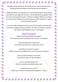We often go year after year, month after month, and minute after minute without giving real thought to what direction we are headed in.

**ANNANNAN** 

Today's workshop is an opportunity for us to seriously look at, where we are and where we are headed for the year. We will address the questions: What do I want to accomplish this year? What am I creating? What am I building? Is my environment sufficient to achieve these and other results? Am I serious or just hoping for the best?

It is time to shift yourself and truly live your life to its fullest. Pursuing only that which is aligned with your purpose? Oh yeah, we all have a purpose and today we will distinguish yours. Just Imagine:

## Instant Transformation

What if your life was suddenly changed? How would you feel if your destiny was one day – exchanged? NANA PROPINSI

How long does each moment last? How would your life be if you rewrote your past?

Could life be more than it seems? What if you become something more- on the way to your dreams?

> Can you undo the things you've done? Just how and when is a new life begun?

Are such transformations true? What if you awoke and everything was new?

What would you do or say? What if your moment of transformation happened  $-$  today?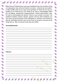Before we can create this year, we must complete last year. By complete, it does not necessarily mean what we finished, but rather - what did we accomplish? In other words, what do you want to say goodbye to? What did you say you wanted to do? What did you do? What do we want to acknowledge? What are our regrets, resentments, disappointments, missed opportunities? Also, we want to acknowledge any failures. Failure is your access to success. The greatest of leaders, doctors, lawyers, parents, and any other profession you can name got good because of the willingness to embrace and include the failures, the things that don't work are as much an access to success as the things that do. Take a moment to look back and reflect.

**AAAAAAAA** 

#### **Accomplishments:**

## **Failures:**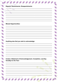Regrets, Resentments, Disappointments:

**MANAMANA** 

## **Missed Opportunities:**

Anything else that you wish to acknowledge:

Create a Statement of Acknowledgement, Completion, and Say Goodbye to the Year: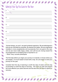What are Your Top Five Goals for This Year:

1. \_\_\_\_\_\_\_\_\_\_\_\_\_\_\_\_\_\_\_\_\_\_\_\_\_\_\_\_\_\_\_\_\_\_\_\_\_\_\_\_\_\_\_\_\_\_\_\_\_\_\_\_\_\_\_\_  $\mathcal{L}=\mathcal{L}=\mathcal{L}=\mathcal{L}=\mathcal{L}=\mathcal{L}=\mathcal{L}=\mathcal{L}=\mathcal{L}=\mathcal{L}=\mathcal{L}=\mathcal{L}=\mathcal{L}=\mathcal{L}=\mathcal{L}=\mathcal{L}=\mathcal{L}=\mathcal{L}=\mathcal{L}=\mathcal{L}=\mathcal{L}=\mathcal{L}=\mathcal{L}=\mathcal{L}=\mathcal{L}=\mathcal{L}=\mathcal{L}=\mathcal{L}=\mathcal{L}=\mathcal{L}=\mathcal{L}=\mathcal{L}=\mathcal{L}=\mathcal{L}=\mathcal{L}=\mathcal{L}=\mathcal{$  $\overline{\phantom{a}}$  , and the contribution of the contribution of the contribution of the contribution of the contribution of the contribution of the contribution of the contribution of the contribution of the contribution of the 2. \_\_\_\_\_\_\_\_\_\_\_\_\_\_\_\_\_\_\_\_\_\_\_\_\_\_\_\_\_\_\_\_\_\_\_\_\_\_\_\_\_\_\_\_\_\_\_\_\_\_\_\_\_\_\_\_  $\overline{\phantom{a}}$  , and the contribution of the contribution of the contribution of the contribution of the contribution of the contribution of the contribution of the contribution of the contribution of the contribution of the  $\overline{\phantom{a}}$  , and the contribution of the contribution of the contribution of the contribution of the contribution of the contribution of the contribution of the contribution of the contribution of the contribution of the 3. \_\_\_\_\_\_\_\_\_\_\_\_\_\_\_\_\_\_\_\_\_\_\_\_\_\_\_\_\_\_\_\_\_\_\_\_\_\_\_\_\_\_\_\_\_\_\_\_\_\_\_\_\_\_\_\_  $\overline{\phantom{a}}$  , and the contribution of the contribution of the contribution of the contribution of the contribution of the contribution of the contribution of the contribution of the contribution of the contribution of the  $\overline{\phantom{a}}$  , and the contribution of the contribution of the contribution of the contribution of the contribution of the contribution of the contribution of the contribution of the contribution of the contribution of the 4. \_\_\_\_\_\_\_\_\_\_\_\_\_\_\_\_\_\_\_\_\_\_\_\_\_\_\_\_\_\_\_\_\_\_\_\_\_\_\_\_\_\_\_\_\_\_\_\_\_\_\_\_\_\_\_\_ \_\_\_\_\_\_\_\_\_\_\_\_\_\_\_\_\_\_\_\_\_\_\_\_\_\_\_\_\_\_\_\_\_\_\_\_\_\_\_\_\_\_\_\_\_\_\_\_\_\_\_\_\_\_\_\_\_\_\_\_\_ \_\_\_\_\_\_\_\_\_\_\_\_\_\_\_\_\_\_\_\_\_\_\_\_\_\_\_\_\_\_\_\_\_\_\_\_\_\_\_\_\_\_\_\_\_\_\_\_\_\_\_\_\_\_\_\_\_\_\_\_\_ 5. \_\_\_\_\_\_\_\_\_\_\_\_\_\_\_\_\_\_\_\_\_\_\_\_\_\_\_\_\_\_\_\_\_\_\_\_\_\_\_\_\_\_\_\_\_\_\_\_\_\_\_\_\_\_\_\_ \_\_\_\_\_\_\_\_\_\_\_\_\_\_\_\_\_\_\_\_\_\_\_\_\_\_\_\_\_\_\_\_\_\_\_\_\_\_\_\_\_\_\_\_\_\_\_\_\_\_\_\_\_\_\_\_\_\_\_\_\_ \_\_\_\_\_\_\_\_\_\_\_\_\_\_\_\_\_\_\_\_\_\_\_\_\_\_\_\_\_\_\_\_\_\_\_\_\_\_\_\_\_\_\_\_\_\_\_\_\_\_\_\_\_\_\_\_\_\_\_\_\_

**ANATA** 

"Human beings, you and I, are goal-centered organisms. We are teleological in that we are motivated by purposes, By desired end states. We are engineered mentally to move progressively and successively from one goal to the next, and we are never really happy unless, and until we are moving toward the accomplishment of something that is important to us."

-- Brian Tracy, success philosopher

NAN HAND

The first step before you begin your journey is to decide or choose where you are headed. It is much easier to travel with a map. So Let's begin to chart your journey for this year.

Consider that One day of planning is worth five days of action and one day of prevention is worth five days of recovery. The more you plan and prevent the more effective your plans become and the less time you have to spend on recovery.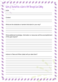## Work on Yourself like a Work of Art. Through Goal Setting

**ANNANNAN** 

Goal:

Context:

What are the obstacles or barriers that stand in your way?

What additional knowledge, information or resources will the accomplishment of this goal require?

Actions to Take and When (date) will you take them?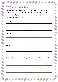# **Yearly Calendar of Accomplishment**

For each month list the milestones, where you want to be in regard to the accomplishment of each goal. Imagine that you are the CEO of your life, the truth is that you are! Now chart where you want to be and at the end of each month chart where you are a kind of check and balance to your progress. Alter your plan if needed.

**ANANNI** 

#### January:

#### February:

#### March:

**Quarterly Review:** What's working and what's not working or observations.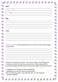#### June:

EN SIGNAL

**Quarterly Review:** What adjustments do you need to make? What support do you need?

AAAA

Success is a process not a goal. It is a way of living a way of being and a conscious choice in which you choose to live. Great, powerful and successful people take daily actions towards their goals. Everything Counts!

"I challenge you to make your life a masterpiece. I challenge you to join the ranks of those people Who live what they teach, who walk their talk. Live with Passion!" -- Anthony Robbins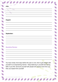## August:

#### September:

## **Quarterly Review:**

NOTES

You have ninety more days before the year is over, time to get straight with yourself in an empowering manner. Keep believing in yourself and having faith in your life. Surround yourself with people who expect more from you than you expect from yourself.

**ARAY** 

e de la partida de la partida de la partida de la partida de la partida de la partida de la partida de la partida de la partida de la partida de la partida de la partida de la partida de<br>Del partida de la partida de la par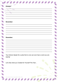## October:

#### November:

#### December:

Your Actions Speak So Loudly that no one can ever hear a word you are saying!

**MAXXXXXX** 

Let's See what you Created for Yourself This Year...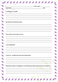| _______________________, in the year________<br>lived $a(n)$               | life. |  |
|----------------------------------------------------------------------------|-------|--|
| I created for myself:                                                      |       |  |
|                                                                            |       |  |
| My family and friends were:                                                |       |  |
|                                                                            |       |  |
| The world now knows me as:                                                 |       |  |
| I accomplished:                                                            |       |  |
|                                                                            |       |  |
| I had fun, vacationed and had adventures                                   |       |  |
|                                                                            |       |  |
| Resolved issues of integrity in the following areas and became so freed up |       |  |
|                                                                            |       |  |
|                                                                            |       |  |